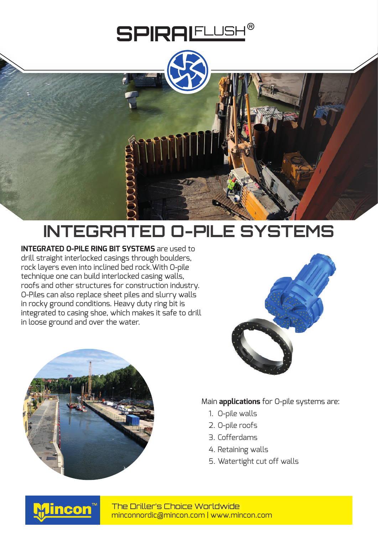## **SPIRALELUSH®**



## **INTEGRATED O-PILE SYSTEMS**

**INTEGRATED O-PILE RING BIT SYSTEMS** are used to drill straight interlocked casings through boulders, rock layers even into inclined bed rock.With O-pile technique one can build interlocked casing walls, roofs and other structures for construction industry. O-Piles can also replace sheet piles and slurry walls in rocky ground conditions. Heavy duty ring bit is integrated to casing shoe, which makes it safe to drill in loose ground and over the water.





Main **applications** for O-pile systems are:

- 1. O-pile walls
- 2. O-pile roofs
- 3. Cofferdams
- 4. Retaining walls
- 5. Watertight cut off walls



minconnordic@mincon.com | www.mincon.com The Driller's Choice Worldwide